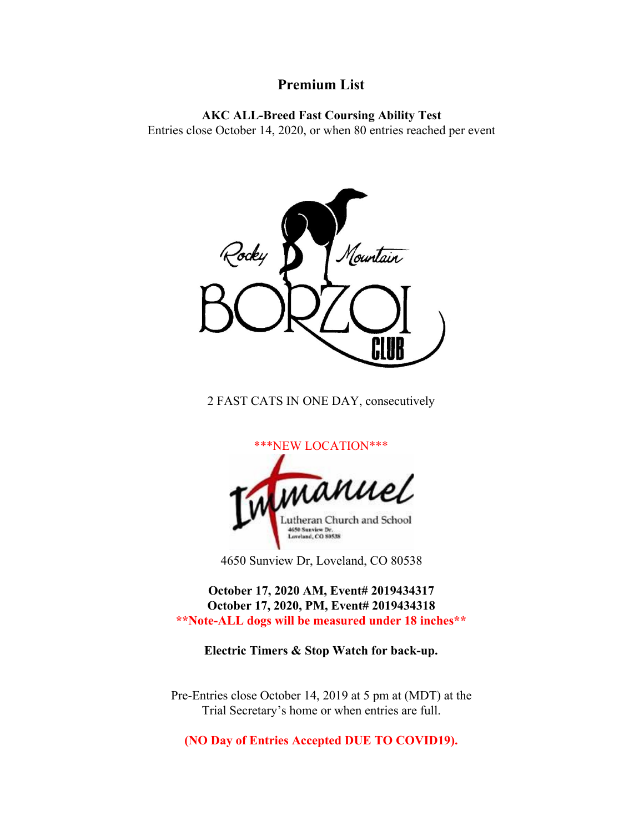# **Premium List**

# **AKC ALL-Breed Fast Coursing Ability Test**

Entries close October 14, 2020, or when 80 entries reached per event



2 FAST CATS IN ONE DAY, consecutively



4650 Sunview Dr, Loveland, CO 80538

**October 17, 2020 AM, Event# 2019434317 October 17, 2020, PM, Event# 2019434318 \*\*Note-ALL dogs will be measured under 18 inches\*\***

**Electric Timers & Stop Watch for back-up.**

Pre-Entries close October 14, 2019 at 5 pm at (MDT) at the Trial Secretary's home or when entries are full.

**(NO Day of Entries Accepted DUE TO COVID19).**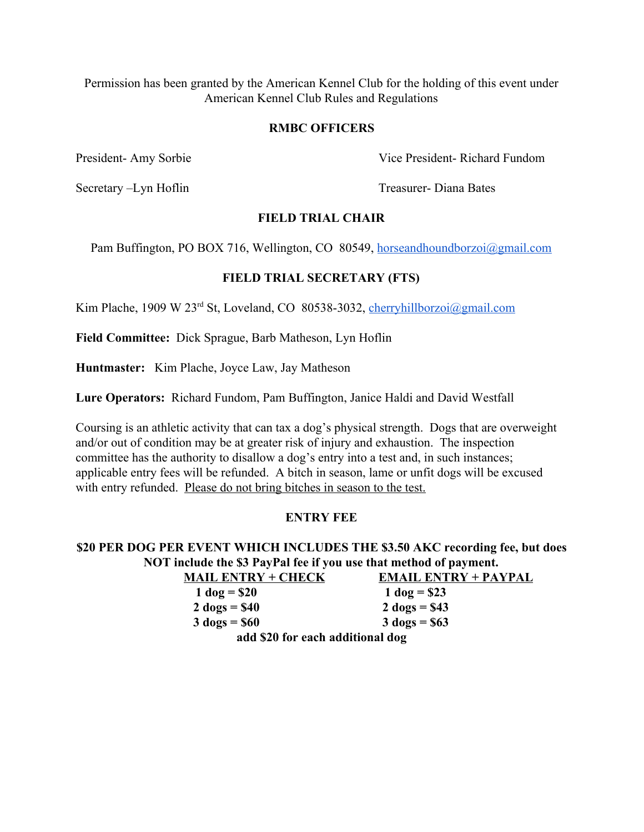Permission has been granted by the American Kennel Club for the holding of this event under American Kennel Club Rules and Regulations

#### **RMBC OFFICERS**

President- Amy Sorbie Vice President- Richard Fundom

Secretary –Lyn Hoflin Treasurer- Diana Bates

## **FIELD TRIAL CHAIR**

Pam Buffington, PO BOX 716, Wellington, CO 80549, [horseandhoundborzoi@gmail.com](mailto:horseandhoundborzoi@gmail.com)

# **FIELD TRIAL SECRETARY (FTS)**

Kim Plache, 1909 W 23<sup>rd</sup> St, Loveland, CO 80538-3032, [cherryhillborzoi@gmail.com](mailto:cherryhillborzoi@gmail.com)

**Field Committee:** Dick Sprague, Barb Matheson, Lyn Hoflin

**Huntmaster:** Kim Plache, Joyce Law, Jay Matheson

**Lure Operators:** Richard Fundom, Pam Buffington, Janice Haldi and David Westfall

Coursing is an athletic activity that can tax a dog's physical strength. Dogs that are overweight and/or out of condition may be at greater risk of injury and exhaustion. The inspection committee has the authority to disallow a dog's entry into a test and, in such instances; applicable entry fees will be refunded. A bitch in season, lame or unfit dogs will be excused with entry refunded. Please do not bring bitches in season to the test.

# **ENTRY FEE**

# **\$20 PER DOG PER EVENT WHICH INCLUDES THE \$3.50 AKC recording fee, but does NOT include the \$3 PayPal fee if you use that method of payment.**

| <b>MAIL ENTRY + CHECK</b>        | <b>EMAIL ENTRY + PAYPAL</b> |  |
|----------------------------------|-----------------------------|--|
| 1 $\log$ = \$20                  | 1 $\log$ = \$23             |  |
| $2 \text{ dogs} = $40$           | $2 \text{ dogs} = $43$      |  |
| $3 \text{ dogs} = $60$           | $3 \text{ dogs} = $63$      |  |
| add \$20 for each additional dog |                             |  |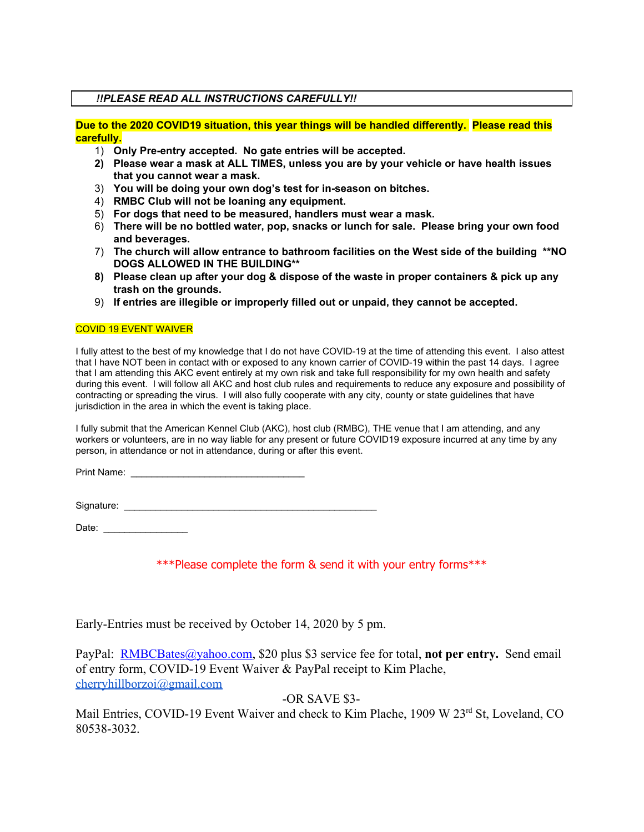#### *!!PLEASE READ ALL INSTRUCTIONS CAREFULLY!!*

**Due to the 2020 COVID19 situation, this year things will be handled differently. Please read this carefully.**

- 1) **Only Pre-entry accepted. No gate entries will be accepted.**
- **2) Please wear a mask at ALL TIMES, unless you are by your vehicle or have health issues that you cannot wear a mask.**
- 3) **You will be doing your own dog's test for in-season on bitches.**
- 4) **RMBC Club will not be loaning any equipment.**
- 5) **For dogs that need to be measured, handlers must wear a mask.**
- 6) **There will be no bottled water, pop, snacks or lunch for sale. Please bring your own food and beverages.**
- 7) **The church will allow entrance to bathroom facilities on the West side of the building \*\*NO DOGS ALLOWED IN THE BUILDING\*\***
- **8) Please clean up after your dog & dispose of the waste in proper containers & pick up any trash on the grounds.**
- 9) **If entries are illegible or improperly filled out or unpaid, they cannot be accepted.**

#### COVID 19 EVENT WAIVER

I fully attest to the best of my knowledge that I do not have COVID-19 at the time of attending this event. I also attest that I have NOT been in contact with or exposed to any known carrier of COVID-19 within the past 14 days. I agree that I am attending this AKC event entirely at my own risk and take full responsibility for my own health and safety during this event. I will follow all AKC and host club rules and requirements to reduce any exposure and possibility of contracting or spreading the virus. I will also fully cooperate with any city, county or state guidelines that have jurisdiction in the area in which the event is taking place.

I fully submit that the American Kennel Club (AKC), host club (RMBC), THE venue that I am attending, and any workers or volunteers, are in no way liable for any present or future COVID19 exposure incurred at any time by any person, in attendance or not in attendance, during or after this event.

Print Name: \_\_\_\_\_\_\_\_\_\_\_\_\_\_\_\_\_\_\_\_\_\_\_\_\_\_\_\_\_\_\_\_\_

Signature: \_\_\_\_\_\_\_\_\_\_\_\_\_\_\_\_\_\_\_\_\_\_\_\_\_\_\_\_\_\_\_\_\_\_\_\_\_\_\_\_\_\_\_\_\_\_\_\_

Date: \_\_\_\_\_\_\_\_\_\_\_\_\_\_\_\_

\*\*\*Please complete the form & send it with your entry forms\*\*\*

Early-Entries must be received by October 14, 2020 by 5 pm.

PayPal: [RMBCBates@yahoo.com](mailto:RMBCBates@yahoo.com), \$20 plus \$3 service fee for total, **not per entry.** Send email of entry form, COVID-19 Event Waiver & PayPal receipt to Kim Plache, [cherryhillborzoi@gmail.com](mailto:cherryhillborzoi@gmail.com)

#### -OR SAVE \$3-

Mail Entries, COVID-19 Event Waiver and check to Kim Plache, 1909 W 23<sup>rd</sup> St, Loveland, CO 80538-3032.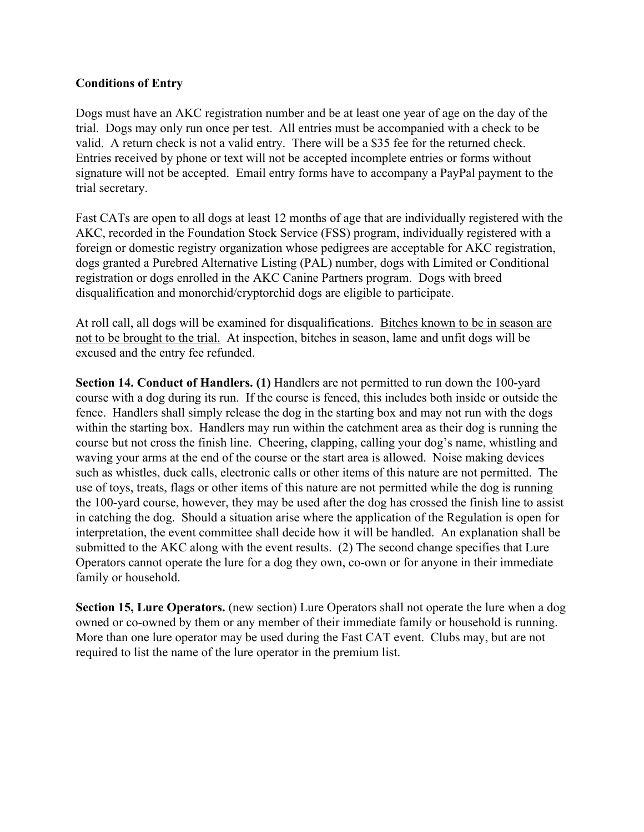# **Conditions of Entry**

Dogs must have an AKC registration number and be at least one year of age on the day of the trial. Dogs may only run once per test. All entries must be accompanied with a check to be valid. A return check is not a valid entry. There will be a \$35 fee for the returned check. Entries received by phone or text will not be accepted incomplete entries or forms without signature will not be accepted. Email entry forms have to accompany a PayPal payment to the trial secretary.

Fast CATs are open to all dogs at least 12 months of age that are individually registered with the AKC, recorded in the Foundation Stock Service (FSS) program, individually registered with a foreign or domestic registry organization whose pedigrees are acceptable for AKC registration, dogs granted a Purebred Alternative Listing (PAL) number, dogs with Limited or Conditional registration or dogs enrolled in the AKC Canine Partners program. Dogs with breed disqualification and monorchid/cryptorchid dogs are eligible to participate.

At roll call, all dogs will be examined for disqualifications. Bitches known to be in season are not to be brought to the trial. At inspection, bitches in season, lame and unfit dogs will be excused and the entry fee refunded.

**Section 14. Conduct of Handlers. (1)** Handlers are not permitted to run down the 100-yard course with a dog during its run. If the course is fenced, this includes both inside or outside the fence. Handlers shall simply release the dog in the starting box and may not run with the dogs within the starting box. Handlers may run within the catchment area as their dog is running the course but not cross the finish line. Cheering, clapping, calling your dog's name, whistling and waving your arms at the end of the course or the start area is allowed. Noise making devices such as whistles, duck calls, electronic calls or other items of this nature are not permitted. The use of toys, treats, flags or other items of this nature are not permitted while the dog is running the 100-yard course, however, they may be used after the dog has crossed the finish line to assist in catching the dog. Should a situation arise where the application of the Regulation is open for interpretation, the event committee shall decide how it will be handled. An explanation shall be submitted to the AKC along with the event results. (2) The second change specifies that Lure Operators cannot operate the lure for a dog they own, co-own or for anyone in their immediate family or household.

**Section 15, Lure Operators.** (new section) Lure Operators shall not operate the lure when a dog owned or co-owned by them or any member of their immediate family or household is running. More than one lure operator may be used during the Fast CAT event. Clubs may, but are not required to list the name of the lure operator in the premium list.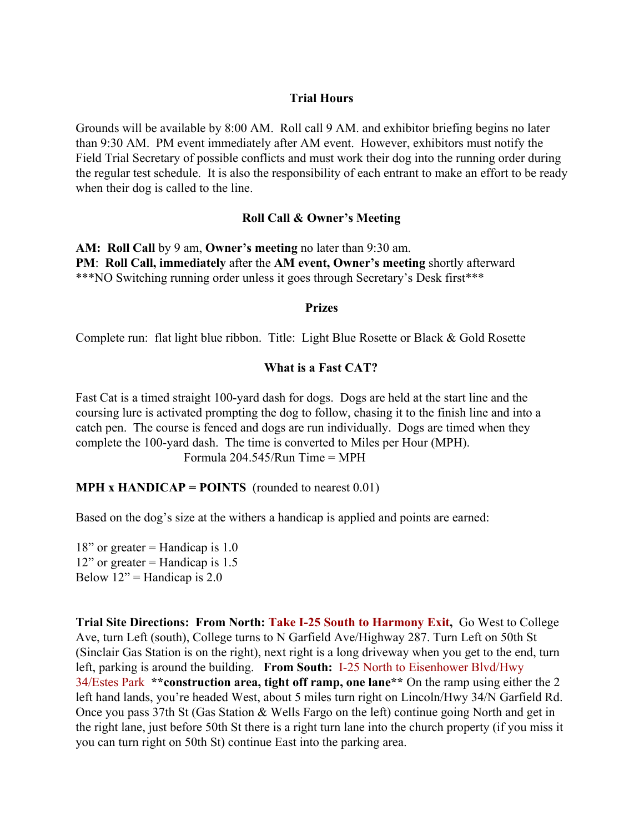#### **Trial Hours**

Grounds will be available by 8:00 AM. Roll call 9 AM. and exhibitor briefing begins no later than 9:30 AM. PM event immediately after AM event. However, exhibitors must notify the Field Trial Secretary of possible conflicts and must work their dog into the running order during the regular test schedule. It is also the responsibility of each entrant to make an effort to be ready when their dog is called to the line.

## **Roll Call & Owner's Meeting**

**AM: Roll Call** by 9 am, **Owner's meeting** no later than 9:30 am. **PM**: **Roll Call, immediately** after the **AM event, Owner's meeting** shortly afterward \*\*\*NO Switching running order unless it goes through Secretary's Desk first\*\*\*

#### **Prizes**

Complete run: flat light blue ribbon. Title: Light Blue Rosette or Black & Gold Rosette

#### **What is a Fast CAT?**

Fast Cat is a timed straight 100-yard dash for dogs. Dogs are held at the start line and the coursing lure is activated prompting the dog to follow, chasing it to the finish line and into a catch pen. The course is fenced and dogs are run individually. Dogs are timed when they complete the 100-yard dash. The time is converted to Miles per Hour (MPH). Formula  $204.545/R$ un Time = MPH

## **MPH x HANDICAP = POINTS** (rounded to nearest  $0.01$ )

Based on the dog's size at the withers a handicap is applied and points are earned:

 $18$ " or greater = Handicap is 1.0 12" or greater = Handicap is 1.5 Below  $12$ " = Handicap is 2.0

**Trial Site Directions: From North: Take I-25 South to Harmony Exit,** Go West to College Ave, turn Left (south), College turns to N Garfield Ave/Highway 287. Turn Left on 50th St (Sinclair Gas Station is on the right), next right is a long driveway when you get to the end, turn left, parking is around the building. **From South:** I-25 North to Eisenhower Blvd/Hwy 34/Estes Park **\*\*construction area, tight off ramp, one lane\*\*** On the ramp using either the 2 left hand lands, you're headed West, about 5 miles turn right on Lincoln/Hwy 34/N Garfield Rd. Once you pass 37th St (Gas Station & Wells Fargo on the left) continue going North and get in the right lane, just before 50th St there is a right turn lane into the church property (if you miss it you can turn right on 50th St) continue East into the parking area.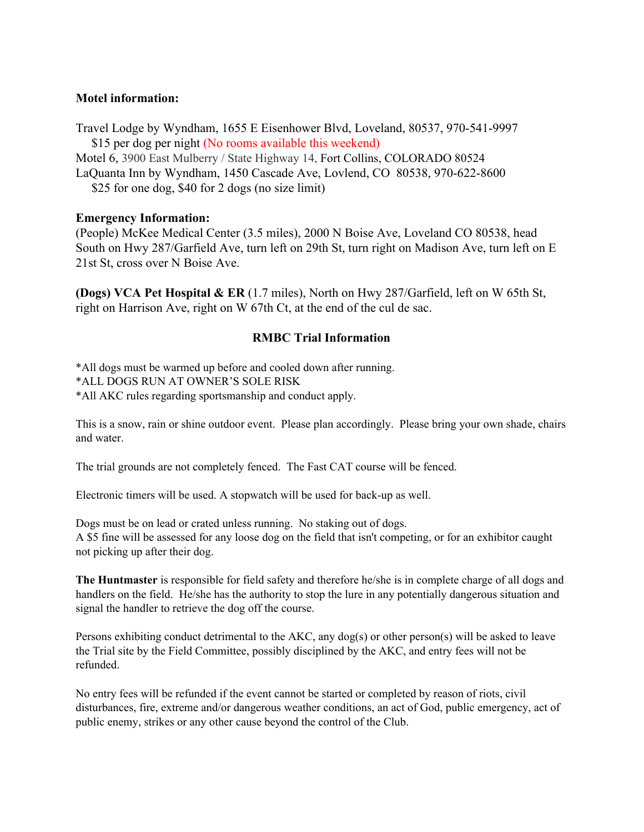#### **Motel information:**

Travel Lodge by Wyndham, 1655 E Eisenhower Blvd, Loveland, 80537, 970-541-9997 \$15 per dog per night (No rooms available this weekend)

Motel 6, 3900 East Mulberry / State Highway 14, Fort [Collins,](https://www.hotelplanner.com/Hotels/3800-in-Fort-Collins-CO.html) COLORADO [80524](https://www.hotelplanner.com/zip/Fort-Collins-CO-hotels-in-80524)

LaQuanta Inn by Wyndham, 1450 Cascade Ave, Lovlend, CO 80538, 970-622-8600

\$25 for one dog, \$40 for 2 dogs (no size limit)

## **Emergency Information:**

(People) McKee Medical Center (3.5 miles), 2000 N Boise Ave, Loveland CO 80538, head South on Hwy 287/Garfield Ave, turn left on 29th St, turn right on Madison Ave, turn left on E 21st St, cross over N Boise Ave.

**(Dogs) VCA Pet Hospital & ER** (1.7 miles), North on Hwy 287/Garfield, left on W 65th St, right on Harrison Ave, right on W 67th Ct, at the end of the cul de sac.

# **RMBC Trial Information**

\*All dogs must be warmed up before and cooled down after running. \*ALL DOGS RUN AT OWNER'S SOLE RISK \*All AKC rules regarding sportsmanship and conduct apply.

This is a snow, rain or shine outdoor event. Please plan accordingly. Please bring your own shade, chairs and water.

The trial grounds are not completely fenced. The Fast CAT course will be fenced.

Electronic timers will be used. A stopwatch will be used for back-up as well.

Dogs must be on lead or crated unless running. No staking out of dogs. A \$5 fine will be assessed for any loose dog on the field that isn't competing, or for an exhibitor caught not picking up after their dog.

**The Huntmaster** is responsible for field safety and therefore he/she is in complete charge of all dogs and handlers on the field. He/she has the authority to stop the lure in any potentially dangerous situation and signal the handler to retrieve the dog off the course.

Persons exhibiting conduct detrimental to the AKC, any dog(s) or other person(s) will be asked to leave the Trial site by the Field Committee, possibly disciplined by the AKC, and entry fees will not be refunded.

No entry fees will be refunded if the event cannot be started or completed by reason of riots, civil disturbances, fire, extreme and/or dangerous weather conditions, an act of God, public emergency, act of public enemy, strikes or any other cause beyond the control of the Club.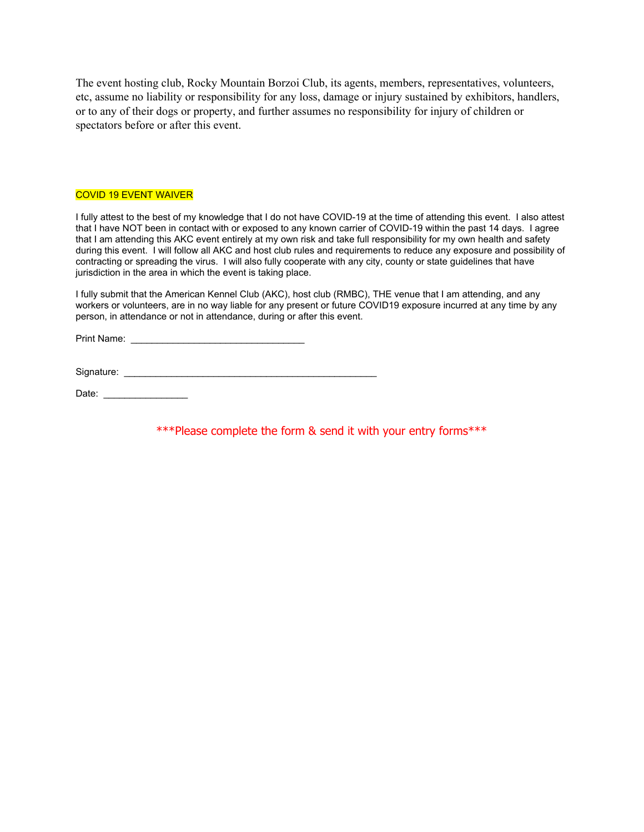The event hosting club, Rocky Mountain Borzoi Club, its agents, members, representatives, volunteers, etc, assume no liability or responsibility for any loss, damage or injury sustained by exhibitors, handlers, or to any of their dogs or property, and further assumes no responsibility for injury of children or spectators before or after this event.

#### COVID 19 EVENT WAIVER

I fully attest to the best of my knowledge that I do not have COVID-19 at the time of attending this event. I also attest that I have NOT been in contact with or exposed to any known carrier of COVID-19 within the past 14 days. I agree that I am attending this AKC event entirely at my own risk and take full responsibility for my own health and safety during this event. I will follow all AKC and host club rules and requirements to reduce any exposure and possibility of contracting or spreading the virus. I will also fully cooperate with any city, county or state guidelines that have jurisdiction in the area in which the event is taking place.

I fully submit that the American Kennel Club (AKC), host club (RMBC), THE venue that I am attending, and any workers or volunteers, are in no way liable for any present or future COVID19 exposure incurred at any time by any person, in attendance or not in attendance, during or after this event.

Print Name: \_\_\_\_\_\_\_\_\_\_\_\_\_\_\_\_\_\_\_\_\_\_\_\_\_\_\_\_\_\_\_\_\_

Signature: \_\_\_\_\_\_\_\_\_\_\_\_\_\_\_\_\_\_\_\_\_\_\_\_\_\_\_\_\_\_\_\_\_\_\_\_\_\_\_\_\_\_\_\_\_\_\_\_

Date: \_\_\_\_\_\_\_\_\_\_\_\_\_\_\_\_

\*\*\*Please complete the form & send it with your entry forms\*\*\*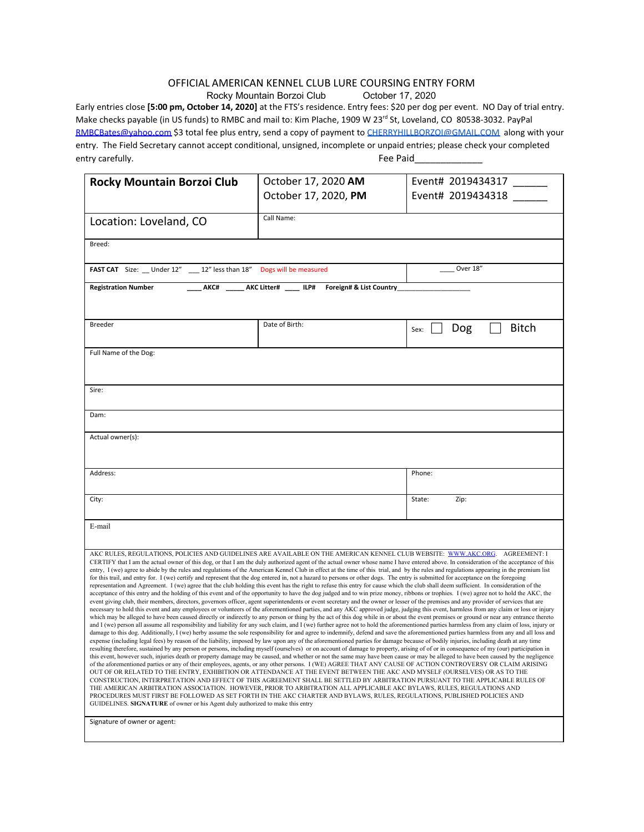#### OFFICIAL AMERICAN KENNEL CLUB LURE COURSING ENTRY FORM

Rocky Mountain Borzoi Club October 17, 2020

Early entries close **[5:00 pm, October 14, 2020]** at the FTS's residence. Entry fees: \$20 per dog per event. NO Day of trial entry. Make checks payable (in US funds) to RMBC and mail to: Kim Plache, 1909 W 23<sup>rd</sup> St, Loveland, CO 80538-3032. PayPal [RMBCBates@yahoo.com](mailto:RMBCBates@yahoo.com) \$3 total fee plus entry, send a copy of payment to [CHERRYHILLBORZOI@GMAIL.COM](mailto:CHERRYHILLBORZOI@GMAIL.COM) along with your entry. The Field Secretary cannot accept conditional, unsigned, incomplete or unpaid entries; please check your completed entry carefully. The Paid Leaders of the Paid Leaders of the Paid Leaders of the Paid Leaders of the Paid Leaders of the Paid Leaders of the Paid Leaders of the Paid Leaders of the Paid Leaders of the Paid Leaders of the P

| Rocky Mountain Borzoi Club                                                                                                                                                                                                                                                                                                                                                                                                                                                                                                                                                                                                                                                                                                                                                                                                                                                                                                                                                                                                                                                                                                                                                                                                                                                                                                                                                                                                                                                                                                                                                                                                                                                                                                                                                                                                                                                                                                                                                                                                                                                                                                                                                                                                                                                                                                                                                                                                                                                                                                                                                                                                                                                                                                                                                                                                                                                                                                                                                                                                                                                                                                                                                                                                                                                                                                                                                                                                                          | October 17, 2020 AM                                   | Event# 2019434317           |  |
|-----------------------------------------------------------------------------------------------------------------------------------------------------------------------------------------------------------------------------------------------------------------------------------------------------------------------------------------------------------------------------------------------------------------------------------------------------------------------------------------------------------------------------------------------------------------------------------------------------------------------------------------------------------------------------------------------------------------------------------------------------------------------------------------------------------------------------------------------------------------------------------------------------------------------------------------------------------------------------------------------------------------------------------------------------------------------------------------------------------------------------------------------------------------------------------------------------------------------------------------------------------------------------------------------------------------------------------------------------------------------------------------------------------------------------------------------------------------------------------------------------------------------------------------------------------------------------------------------------------------------------------------------------------------------------------------------------------------------------------------------------------------------------------------------------------------------------------------------------------------------------------------------------------------------------------------------------------------------------------------------------------------------------------------------------------------------------------------------------------------------------------------------------------------------------------------------------------------------------------------------------------------------------------------------------------------------------------------------------------------------------------------------------------------------------------------------------------------------------------------------------------------------------------------------------------------------------------------------------------------------------------------------------------------------------------------------------------------------------------------------------------------------------------------------------------------------------------------------------------------------------------------------------------------------------------------------------------------------------------------------------------------------------------------------------------------------------------------------------------------------------------------------------------------------------------------------------------------------------------------------------------------------------------------------------------------------------------------------------------------------------------------------------------------------------------------------------|-------------------------------------------------------|-----------------------------|--|
|                                                                                                                                                                                                                                                                                                                                                                                                                                                                                                                                                                                                                                                                                                                                                                                                                                                                                                                                                                                                                                                                                                                                                                                                                                                                                                                                                                                                                                                                                                                                                                                                                                                                                                                                                                                                                                                                                                                                                                                                                                                                                                                                                                                                                                                                                                                                                                                                                                                                                                                                                                                                                                                                                                                                                                                                                                                                                                                                                                                                                                                                                                                                                                                                                                                                                                                                                                                                                                                     | October 17, 2020, PM                                  | Event# 2019434318           |  |
| Location: Loveland, CO                                                                                                                                                                                                                                                                                                                                                                                                                                                                                                                                                                                                                                                                                                                                                                                                                                                                                                                                                                                                                                                                                                                                                                                                                                                                                                                                                                                                                                                                                                                                                                                                                                                                                                                                                                                                                                                                                                                                                                                                                                                                                                                                                                                                                                                                                                                                                                                                                                                                                                                                                                                                                                                                                                                                                                                                                                                                                                                                                                                                                                                                                                                                                                                                                                                                                                                                                                                                                              | Call Name:                                            |                             |  |
| Breed:                                                                                                                                                                                                                                                                                                                                                                                                                                                                                                                                                                                                                                                                                                                                                                                                                                                                                                                                                                                                                                                                                                                                                                                                                                                                                                                                                                                                                                                                                                                                                                                                                                                                                                                                                                                                                                                                                                                                                                                                                                                                                                                                                                                                                                                                                                                                                                                                                                                                                                                                                                                                                                                                                                                                                                                                                                                                                                                                                                                                                                                                                                                                                                                                                                                                                                                                                                                                                                              |                                                       |                             |  |
| FAST CAT Size: __ Under 12" ___ 12" less than 18"                                                                                                                                                                                                                                                                                                                                                                                                                                                                                                                                                                                                                                                                                                                                                                                                                                                                                                                                                                                                                                                                                                                                                                                                                                                                                                                                                                                                                                                                                                                                                                                                                                                                                                                                                                                                                                                                                                                                                                                                                                                                                                                                                                                                                                                                                                                                                                                                                                                                                                                                                                                                                                                                                                                                                                                                                                                                                                                                                                                                                                                                                                                                                                                                                                                                                                                                                                                                   | Dogs will be measured                                 | Over 18"                    |  |
| <b>Registration Number</b><br>AKC#                                                                                                                                                                                                                                                                                                                                                                                                                                                                                                                                                                                                                                                                                                                                                                                                                                                                                                                                                                                                                                                                                                                                                                                                                                                                                                                                                                                                                                                                                                                                                                                                                                                                                                                                                                                                                                                                                                                                                                                                                                                                                                                                                                                                                                                                                                                                                                                                                                                                                                                                                                                                                                                                                                                                                                                                                                                                                                                                                                                                                                                                                                                                                                                                                                                                                                                                                                                                                  | <b>AKC Litter#</b><br>ILP#<br>Foreign# & List Country |                             |  |
| Breeder                                                                                                                                                                                                                                                                                                                                                                                                                                                                                                                                                                                                                                                                                                                                                                                                                                                                                                                                                                                                                                                                                                                                                                                                                                                                                                                                                                                                                                                                                                                                                                                                                                                                                                                                                                                                                                                                                                                                                                                                                                                                                                                                                                                                                                                                                                                                                                                                                                                                                                                                                                                                                                                                                                                                                                                                                                                                                                                                                                                                                                                                                                                                                                                                                                                                                                                                                                                                                                             | Date of Birth:                                        | <b>Bitch</b><br>Dog<br>Sex: |  |
| Full Name of the Dog:                                                                                                                                                                                                                                                                                                                                                                                                                                                                                                                                                                                                                                                                                                                                                                                                                                                                                                                                                                                                                                                                                                                                                                                                                                                                                                                                                                                                                                                                                                                                                                                                                                                                                                                                                                                                                                                                                                                                                                                                                                                                                                                                                                                                                                                                                                                                                                                                                                                                                                                                                                                                                                                                                                                                                                                                                                                                                                                                                                                                                                                                                                                                                                                                                                                                                                                                                                                                                               |                                                       |                             |  |
| Sire:                                                                                                                                                                                                                                                                                                                                                                                                                                                                                                                                                                                                                                                                                                                                                                                                                                                                                                                                                                                                                                                                                                                                                                                                                                                                                                                                                                                                                                                                                                                                                                                                                                                                                                                                                                                                                                                                                                                                                                                                                                                                                                                                                                                                                                                                                                                                                                                                                                                                                                                                                                                                                                                                                                                                                                                                                                                                                                                                                                                                                                                                                                                                                                                                                                                                                                                                                                                                                                               |                                                       |                             |  |
| Dam:                                                                                                                                                                                                                                                                                                                                                                                                                                                                                                                                                                                                                                                                                                                                                                                                                                                                                                                                                                                                                                                                                                                                                                                                                                                                                                                                                                                                                                                                                                                                                                                                                                                                                                                                                                                                                                                                                                                                                                                                                                                                                                                                                                                                                                                                                                                                                                                                                                                                                                                                                                                                                                                                                                                                                                                                                                                                                                                                                                                                                                                                                                                                                                                                                                                                                                                                                                                                                                                |                                                       |                             |  |
| Actual owner(s):                                                                                                                                                                                                                                                                                                                                                                                                                                                                                                                                                                                                                                                                                                                                                                                                                                                                                                                                                                                                                                                                                                                                                                                                                                                                                                                                                                                                                                                                                                                                                                                                                                                                                                                                                                                                                                                                                                                                                                                                                                                                                                                                                                                                                                                                                                                                                                                                                                                                                                                                                                                                                                                                                                                                                                                                                                                                                                                                                                                                                                                                                                                                                                                                                                                                                                                                                                                                                                    |                                                       |                             |  |
| Address:                                                                                                                                                                                                                                                                                                                                                                                                                                                                                                                                                                                                                                                                                                                                                                                                                                                                                                                                                                                                                                                                                                                                                                                                                                                                                                                                                                                                                                                                                                                                                                                                                                                                                                                                                                                                                                                                                                                                                                                                                                                                                                                                                                                                                                                                                                                                                                                                                                                                                                                                                                                                                                                                                                                                                                                                                                                                                                                                                                                                                                                                                                                                                                                                                                                                                                                                                                                                                                            |                                                       | Phone:                      |  |
| City:                                                                                                                                                                                                                                                                                                                                                                                                                                                                                                                                                                                                                                                                                                                                                                                                                                                                                                                                                                                                                                                                                                                                                                                                                                                                                                                                                                                                                                                                                                                                                                                                                                                                                                                                                                                                                                                                                                                                                                                                                                                                                                                                                                                                                                                                                                                                                                                                                                                                                                                                                                                                                                                                                                                                                                                                                                                                                                                                                                                                                                                                                                                                                                                                                                                                                                                                                                                                                                               |                                                       | State:<br>Zip:              |  |
| E-mail                                                                                                                                                                                                                                                                                                                                                                                                                                                                                                                                                                                                                                                                                                                                                                                                                                                                                                                                                                                                                                                                                                                                                                                                                                                                                                                                                                                                                                                                                                                                                                                                                                                                                                                                                                                                                                                                                                                                                                                                                                                                                                                                                                                                                                                                                                                                                                                                                                                                                                                                                                                                                                                                                                                                                                                                                                                                                                                                                                                                                                                                                                                                                                                                                                                                                                                                                                                                                                              |                                                       |                             |  |
| AKC RULES, REGULATIONS, POLICIES AND GUIDELINES ARE AVAILABLE ON THE AMERICAN KENNEL CLUB WEBSITE: WWW.AKC.ORG. AGREEMENT: I<br>CERTIFY that I am the actual owner of this dog, or that I am the duly authorized agent of the actual owner whose name I have entered above. In consideration of the acceptance of this<br>entry, I (we) agree to abide by the rules and regulations of the American Kennel Club in effect at the time of this trial, and by the rules and regulations appearing in the premium list<br>for this trail, and entry for. I (we) certify and represent that the dog entered in, not a hazard to persons or other dogs. The entry is submitted for acceptance on the foregoing<br>representation and Agreement. I (we) agree that the club holding this event has the right to refuse this entry for cause which the club shall deem sufficient. In consideration of the<br>acceptance of this entry and the holding of this event and of the opportunity to have the dog judged and to win prize money, ribbons or trophies. I (we) agree not to hold the AKC, the<br>event giving club, their members, directors, governors officer, agent superintendents or event secretary and the owner or lesser of the premises and any provider of services that are<br>necessary to hold this event and any employees or volunteers of the aforementioned parties, and any AKC approved judge, judging this event, harmless from any claim or loss or injury<br>which may be alleged to have been caused directly or indirectly to any person or thing by the act of this dog while in or about the event premises or ground or near any entrance thereto<br>and I (we) person all assume all responsibility and liability for any such claim, and I (we) further agree not to hold the aforementioned parties harmless from any claim of loss, injury or<br>damage to this dog. Additionally, I (we) herby assume the sole responsibility for and agree to indemnify, defend and save the aforementioned parties harmless from any and all loss and<br>expense (including legal fees) by reason of the liability, imposed by law upon any of the aforementioned parties for damage because of bodily injuries, including death at any time<br>resulting therefore, sustained by any person or persons, including myself (ourselves) or on account of damage to property, arising of of or in consequence of my (our) participation in<br>this event, however such, injuries death or property damage may be caused, and whether or not the same may have been cause or may be alleged to have been caused by the negligence<br>of the aforementioned parties or any of their employees, agents, or any other persons. I (WE) AGREE THAT ANY CAUSE OF ACTION CONTROVERSY OR CLAIM ARISING<br>OUT OF OR RELATED TO THE ENTRY, EXHIBITION OR ATTENDANCE AT THE EVENT BETWEEN THE AKC AND MYSELF (OURSELVES) OR AS TO THE<br>CONSTRUCTION, INTERPRETATION AND EFFECT OF THIS AGREEMENT SHALL BE SETTLED BY ARBITRATION PURSUANT TO THE APPLICABLE RULES OF<br>THE AMERICAN ARBITRATION ASSOCIATION. HOWEVER, PRIOR TO ARBITRATION ALL APPLICABLE AKC BYLAWS, RULES, REGULATIONS AND<br>PROCEDURES MUST FIRST BE FOLLOWED AS SET FORTH IN THE AKC CHARTER AND BYLAWS, RULES, REGULATIONS, PUBLISHED POLICIES AND<br>GUIDELINES. SIGNATURE of owner or his Agent duly authorized to make this entry<br>Signature of owner or agent: |                                                       |                             |  |